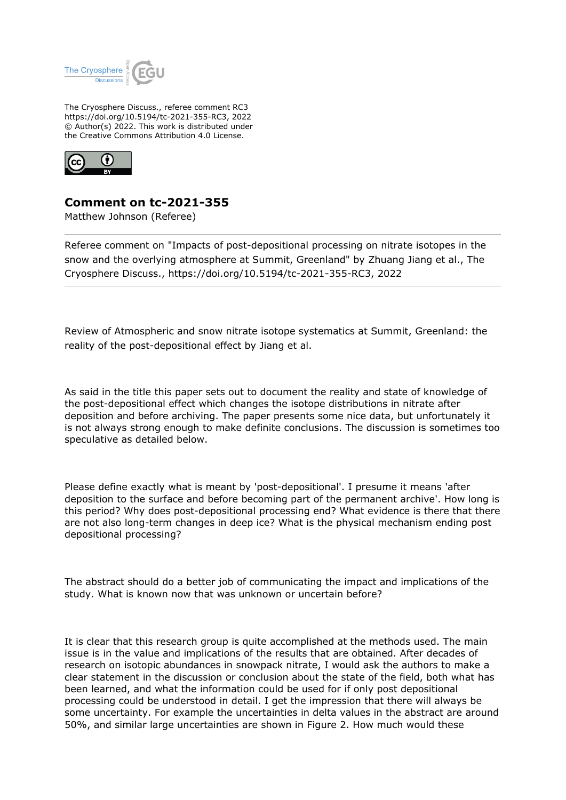

The Cryosphere Discuss., referee comment RC3 https://doi.org/10.5194/tc-2021-355-RC3, 2022 © Author(s) 2022. This work is distributed under the Creative Commons Attribution 4.0 License.



## **Comment on tc-2021-355**

Matthew Johnson (Referee)

Referee comment on "Impacts of post-depositional processing on nitrate isotopes in the snow and the overlying atmosphere at Summit, Greenland" by Zhuang Jiang et al., The Cryosphere Discuss., https://doi.org/10.5194/tc-2021-355-RC3, 2022

Review of Atmospheric and snow nitrate isotope systematics at Summit, Greenland: the reality of the post-depositional effect by Jiang et al.

As said in the title this paper sets out to document the reality and state of knowledge of the post-depositional effect which changes the isotope distributions in nitrate after deposition and before archiving. The paper presents some nice data, but unfortunately it is not always strong enough to make definite conclusions. The discussion is sometimes too speculative as detailed below.

Please define exactly what is meant by 'post-depositional'. I presume it means 'after deposition to the surface and before becoming part of the permanent archive'. How long is this period? Why does post-depositional processing end? What evidence is there that there are not also long-term changes in deep ice? What is the physical mechanism ending post depositional processing?

The abstract should do a better job of communicating the impact and implications of the study. What is known now that was unknown or uncertain before?

It is clear that this research group is quite accomplished at the methods used. The main issue is in the value and implications of the results that are obtained. After decades of research on isotopic abundances in snowpack nitrate, I would ask the authors to make a clear statement in the discussion or conclusion about the state of the field, both what has been learned, and what the information could be used for if only post depositional processing could be understood in detail. I get the impression that there will always be some uncertainty. For example the uncertainties in delta values in the abstract are around 50%, and similar large uncertainties are shown in Figure 2. How much would these